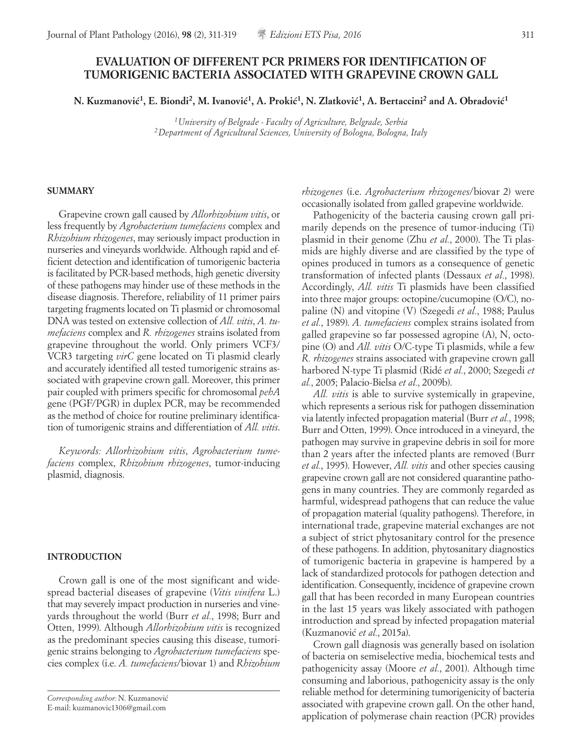# **EVALUATION OF DIFFERENT PCR PRIMERS FOR IDENTIFICATION OF TUMORIGENIC BACTERIA ASSOCIATED WITH GRAPEVINE CROWN GALL**

**N. Kuzmanovic´1, E. Biondi2, M. Ivanovic´1, A. Prokic´1, N. Zlatkovic´1, A. Bertaccini2 and A. Obradovic´1**

*1University of Belgrade - Faculty of Agriculture, Belgrade, Serbia 2Department of Agricultural Sciences, University of Bologna, Bologna, Italy*

### **SUMMARY**

Grapevine crown gall caused by *Allorhizobium vitis*, or less frequently by *Agrobacterium tumefaciens* complex and *Rhizobium rhizogenes*, may seriously impact production in nurseries and vineyards worldwide. Although rapid and efficient detection and identification of tumorigenic bacteria is facilitated by PCR-based methods, high genetic diversity of these pathogens may hinder use of these methods in the disease diagnosis. Therefore, reliability of 11 primer pairs targeting fragments located on Ti plasmid or chromosomal DNA was tested on extensive collection of *All. vitis*, *A. tumefaciens* complex and *R. rhizogenes* strains isolated from grapevine throughout the world. Only primers VCF3/ VCR3 targeting *virC* gene located on Ti plasmid clearly and accurately identified all tested tumorigenic strains associated with grapevine crown gall. Moreover, this primer pair coupled with primers specific for chromosomal *pehA* gene (PGF/PGR) in duplex PCR, may be recommended as the method of choice for routine preliminary identification of tumorigenic strains and differentiation of *All. vitis*.

*Keywords: Allorhizobium vitis*, *Agrobacterium tumefaciens* complex, *Rhizobium rhizogenes*, tumor-inducing plasmid, diagnosis.

## **INTRODUCTION**

Crown gall is one of the most significant and widespread bacterial diseases of grapevine (*Vitis vinifera* L.) that may severely impact production in nurseries and vineyards throughout the world (Burr *et al.*, 1998; Burr and Otten, 1999). Although *Allorhizobium vitis* is recognized as the predominant species causing this disease, tumorigenic strains belonging to *Agrobacterium tumefaciens* species complex (i.e. *A. tumefaciens*/biovar 1) and *Rhizobium*  *rhizogenes* (i.e. *Agrobacterium rhizogenes*/biovar 2) were occasionally isolated from galled grapevine worldwide.

Pathogenicity of the bacteria causing crown gall primarily depends on the presence of tumor-inducing (Ti) plasmid in their genome (Zhu *et al.*, 2000). The Ti plasmids are highly diverse and are classified by the type of opines produced in tumors as a consequence of genetic transformation of infected plants (Dessaux *et al.*, 1998). Accordingly, *All. vitis* Ti plasmids have been classified into three major groups: octopine/cucumopine (O/C), nopaline (N) and vitopine (V) (Szegedi *et al.*, 1988; Paulus *et al.*, 1989). *A. tumefaciens* complex strains isolated from galled grapevine so far possessed agropine (A), N, octopine (O) and *All. vitis* O/C-type Ti plasmids, while a few *R. rhizogenes* strains associated with grapevine crown gall harbored N-type Ti plasmid (Ridé *et al.*, 2000; Szegedi *et al.*, 2005; Palacio-Bielsa *et al.*, 2009b).

*All. vitis* is able to survive systemically in grapevine, which represents a serious risk for pathogen dissemination via latently infected propagation material (Burr *et al.*, 1998; Burr and Otten, 1999). Once introduced in a vineyard, the pathogen may survive in grapevine debris in soil for more than 2 years after the infected plants are removed (Burr *et al.*, 1995). However, *All. vitis* and other species causing grapevine crown gall are not considered quarantine pathogens in many countries. They are commonly regarded as harmful, widespread pathogens that can reduce the value of propagation material (quality pathogens). Therefore, in international trade, grapevine material exchanges are not a subject of strict phytosanitary control for the presence of these pathogens. In addition, phytosanitary diagnostics of tumorigenic bacteria in grapevine is hampered by a lack of standardized protocols for pathogen detection and identification. Consequently, incidence of grapevine crown gall that has been recorded in many European countries in the last 15 years was likely associated with pathogen introduction and spread by infected propagation material (Kuzmanovic´ *et al.*, 2015a).

Crown gall diagnosis was generally based on isolation of bacteria on semiselective media, biochemical tests and pathogenicity assay (Moore *et al.*, 2001). Although time consuming and laborious, pathogenicity assay is the only reliable method for determining tumorigenicity of bacteria associated with grapevine crown gall. On the other hand, application of polymerase chain reaction (PCR) provides

*Corresponding author:* N. Kuzmanovic´ E-mail: kuzmanovic1306@gmail.com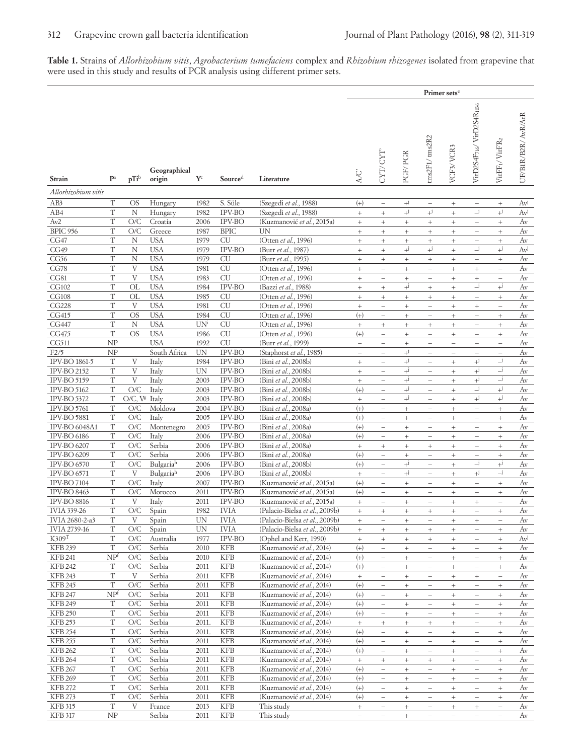**Table 1.** Strains of *Allorhizobium vitis*, *Agrobacterium tumefaciens* complex and *Rhizobium rhizogenes* isolated from grapevine that were used in this study and results of PCR analysis using different primer sets.

|                                          |                      |                           |                          |                         |                          |                                                        | Primer sets <sup>e</sup>      |                                                              |                                         |                                                      |                                                       |                                                      |                                             |                     |
|------------------------------------------|----------------------|---------------------------|--------------------------|-------------------------|--------------------------|--------------------------------------------------------|-------------------------------|--------------------------------------------------------------|-----------------------------------------|------------------------------------------------------|-------------------------------------------------------|------------------------------------------------------|---------------------------------------------|---------------------|
| <b>Strain</b>                            | $\mathbf{P}^a$       | pTi <sup>b</sup>          | Geographical<br>origin   | $\mathbf{Y}^{\text{c}}$ | Sourced                  | Literature                                             |                               | CYT/CYT                                                      | PGF/PGR                                 | ms2F1/tms2R2                                         | VCF3/VCR3                                             | VirD2S4F716/VirD2S4R1036                             | $\rm VirFF_{1}/\rm VirFR_{2}$               | UF/BIR/B2R/ AvR/ArR |
| Allorhizobium vitis                      |                      |                           |                          |                         |                          |                                                        |                               |                                                              |                                         |                                                      |                                                       |                                                      |                                             |                     |
| AB3                                      | T                    | OS                        | Hungary                  | 1982                    | S. Süle                  | (Szegedi et al., 1988)                                 | $^{(+)}$                      | $\overline{\phantom{a}}$                                     | $+^{j}$                                 | $\overline{\phantom{0}}$                             | $\begin{array}{c} + \end{array}$                      | $\qquad \qquad -$                                    | $\! + \!\!\!\!$                             | Av                  |
| AB4                                      | T                    | $\mathbf N$               | Hungary                  | 1982                    | IPV-BO                   | (Szegedi et al., 1988)                                 | $\qquad \qquad +$             | $\! + \!\!\!\!$                                              | $^{+i}$                                 | $^{+i}$                                              | $^{+}$                                                | $\_j$                                                | $+^{j}$                                     | $Av^j$              |
| Av2                                      | T                    | O/C                       | Croatia                  | 2006                    | <b>IPV-BO</b>            | (Kuzmanović et al., 2015a)                             | $\qquad \qquad +$             | $\! + \!\!\!\!$                                              | $+$                                     | $^{+}$                                               | $\! + \!\!\!\!$                                       | -                                                    | $\! + \!\!\!\!$                             | Av                  |
| <b>BPIC 956</b>                          | T                    | O/C                       | Greece                   | 1987                    | <b>BPIC</b>              | UN                                                     | $\qquad \qquad +$             | $\! + \!\!\!\!$                                              | $+$                                     | $\qquad \qquad +$                                    | $\qquad \qquad +$                                     | $\overline{\phantom{0}}$                             | $^+$                                        | Av                  |
| CG47                                     | T                    | N                         | <b>USA</b>               | 1979                    | <b>CU</b>                | (Otten et al., 1996)                                   | $^{+}$                        | $\begin{array}{c} + \end{array}$                             | $^{+}$                                  | $^{+}$                                               | $\begin{array}{c} + \end{array}$                      | -                                                    | $\! + \!\!\!\!$                             | Av                  |
| CG49                                     | T                    | $\mathbf N$               | <b>USA</b>               | 1979                    | IPV-BO                   | (Burr et al., 1987)                                    | $^{+}$                        | $\, +$                                                       | $^{+i}$                                 | $+^{j}$                                              | $\! + \!\!\!\!$                                       | $\lrcorner$                                          | $^{+i}$                                     | $Av^{j}$            |
| CG56                                     | T                    | N                         | <b>USA</b>               | 1979                    | CU                       | (Burr et al., 1995)                                    | $\! + \!\!\!$                 | $\! + \!\!\!\!$                                              | $^{+}$                                  | $^{+}$                                               | $\! + \!\!\!\!$                                       | $\qquad \qquad -$                                    | $\! + \!\!\!\!$                             | Av                  |
| CG78                                     | T                    | V                         | <b>USA</b>               | 1981                    | <b>CU</b>                | (Otten et al., 1996)                                   | $\qquad \qquad +$             | $\qquad \qquad -$                                            | $\qquad \qquad +$                       | $\equiv$                                             | $\qquad \qquad +$                                     | $^{+}$                                               | $\hspace{0.1in} - \hspace{0.1in}$           | Av                  |
| CG81                                     | T                    | $\mathbf{V}$              | <b>USA</b>               | 1983                    | <b>CU</b>                | (Otten et al., 1996)                                   | $\qquad \qquad +$             | $\overline{\phantom{a}}$                                     | $+$                                     | $\overline{\phantom{0}}$                             | $\begin{array}{c} + \end{array}$                      | $\qquad \qquad +$                                    | $\overline{\phantom{a}}$                    | Av                  |
| CG102                                    | T<br>T               | OL                        | <b>USA</b>               | 1984                    | IPV-BO                   | (Bazzi et al., 1988)                                   | $^{+}$                        | $\! + \!\!\!\!$                                              | $+^{j}$                                 | $^{+}$                                               | $\! + \!\!\!\!$                                       | $\overline{-}$ j                                     | $+^j$                                       | Av                  |
| <b>CG108</b><br><b>CG228</b>             | T                    | $_{\rm OL}$<br>V          | <b>USA</b><br><b>USA</b> | 1985<br>1981            | <b>CU</b><br><b>CU</b>   | (Otten et al., 1996)<br>(Otten et al., 1996)           | $\qquad \qquad +$             | $\begin{array}{c} + \end{array}$<br>$\overline{\phantom{m}}$ | $\! + \!\!\!\!$                         | $^{+}$<br>$\qquad \qquad -$                          | $\! + \!\!\!\!$                                       | $\overline{\phantom{0}}$                             | $\! + \!\!\!\!$<br>$\overline{\phantom{0}}$ | Av<br>Av            |
| CG415                                    | T                    | OS                        | <b>USA</b>               | 1984                    | <b>CU</b>                | (Otten et al., 1996)                                   | $\qquad \qquad +$<br>$^{(+)}$ | $\overline{\phantom{0}}$                                     | $+$<br>$^{+}$                           | $\overline{\phantom{0}}$                             | $\qquad \qquad +$<br>$\begin{array}{c} + \end{array}$ | $\begin{array}{c} + \end{array}$<br>-                | $\! + \!\!\!\!$                             | Av                  |
| CG447                                    | T                    | $\rm N$                   | <b>USA</b>               | UN <sup>i</sup>         | <b>CU</b>                | (Otten et al., 1996)                                   | $^{+}$                        | $\! + \!\!\!\!$                                              | $^{+}$                                  | $^{+}$                                               | $\! + \!\!\!\!$                                       | $\overline{\phantom{0}}$                             | $\qquad \qquad +$                           | Av                  |
| CG475                                    | $\mathbf T$          | <b>OS</b>                 | <b>USA</b>               | 1986                    | CU                       | (Otten et al., 1996)                                   | $^{(+)}$                      | $\hspace{1.0cm} - \hspace{1.0cm}$                            | $^{+}$                                  | $\qquad \qquad -$                                    | $\begin{array}{c} + \end{array}$                      | $\overline{\phantom{0}}$                             | $\! + \!\!\!\!$                             | Av                  |
| CG511                                    | NP                   |                           | <b>USA</b>               | 1992                    | <b>CU</b>                | (Burr et al., 1999)                                    | $\overline{\phantom{0}}$      | $\overline{\phantom{a}}$                                     | $^{+}$                                  | i.                                                   | $\overline{\phantom{0}}$                              | $\overline{\phantom{0}}$                             | $\overline{\phantom{0}}$                    | Av                  |
| F2/5                                     | NP                   |                           | South Africa             | UN                      | IPV-BO                   | (Staphorst et al., 1985)                               | $\qquad \qquad -$             | $\overline{\phantom{m}}$                                     | $+^{j}$                                 | $\qquad \qquad -$                                    | $\overline{\phantom{m}}$                              | $\overline{\phantom{0}}$                             | $\overline{\phantom{m}}$                    | Av                  |
| IPV-BO 1861-5                            | T                    | V                         | Italy                    | 1984                    | IPV-BO                   | (Bini et al., 2008b)                                   | $\qquad \qquad +$             | $\overline{\phantom{a}}$                                     | $+j$                                    | $\overline{\phantom{0}}$                             | $\! + \!\!\!\!$                                       | $+^{j}$                                              | $\overline{-}$ j                            | Av                  |
| <b>IPV-BO 2152</b>                       | T                    | V                         | Italy                    | UN                      | IPV-BO                   | (Bini et al., 2008b)                                   | $\qquad \qquad +$             | $\overline{\phantom{0}}$                                     | $+^{j}$                                 | $\overline{\phantom{0}}$                             | $\! + \!\!\!\!$                                       | $+^{j}$                                              | $\overline{-}$ j                            | Av                  |
| <b>IPV-BO 5159</b>                       | T                    | $\mathbf{V}$              | Italy                    | 2003                    | IPV-BO                   | (Bini et al., 2008b)                                   | $\qquad \qquad +$             | $\overline{\phantom{a}}$                                     | $+^{j}$                                 | $\qquad \qquad -$                                    | $\qquad \qquad +$                                     | $+^{j}$                                              | $\overline{\phantom{a}}$                    | Av                  |
| <b>IPV-BO 5162</b>                       | T                    | O/C                       | Italy                    | 2003                    | IPV-BO                   | (Bini et al., 2008b)                                   | $^{(+)}$                      | $\overline{\phantom{0}}$                                     | $+^{j}$                                 | -                                                    | $\! + \!\!\!\!$                                       | $\overline{\phantom{a}}$                             | $+^{j}$                                     | Av                  |
| <b>IPV-BO 5372</b>                       | T                    | O/C, V <sup>g</sup> Italy |                          | 2003                    | IPV-BO                   | (Bini et al., 2008b)                                   | $\ddot{}$                     | $\equiv$                                                     | $+^{j}$                                 | $\equiv$                                             | $\ddot{}$                                             | $+^{j}$                                              | $^{+i}$                                     | Av                  |
| IPV-BO 5761                              | T                    | O/C                       | Moldova                  | 2004                    | <b>IPV-BO</b>            | (Bini et al., 2008a)                                   | $^{(+)}$                      | $\overline{\phantom{a}}$                                     | $^{+}$                                  | $\qquad \qquad -$                                    | $\qquad \qquad +$                                     | $\overline{\phantom{0}}$                             | $\! + \!\!\!\!$                             | Av                  |
| <b>IPV-BO 5881</b>                       | T                    | O/C                       | Italy                    | 2005                    | IPV-BO                   | (Bini et al., 2008a)                                   | $^{(+)}$                      | $\overline{\phantom{a}}$                                     | $+$                                     | $\overline{\phantom{0}}$                             | $\! + \!\!\!\!$                                       | ÷,                                                   | $\! + \!\!\!\!$                             | Av                  |
| <b>IPV-BO 6048A1</b>                     | T                    | O/C                       | Montenegro               | 2005                    | IPV-BO                   | (Bini et al., 2008a)                                   | $^{(+)}$                      | $\overline{\phantom{a}}$                                     | $^{+}$                                  | $\qquad \qquad -$                                    | $+$                                                   | $\overline{\phantom{0}}$                             | $^+$                                        | Av                  |
| <b>IPV-BO 6186</b>                       | T                    | O/C                       | Italy                    | 2006                    | <b>IPV-BO</b>            | (Bini et al., 2008a)                                   | $(+)$                         | $\hspace{1.0cm} - \hspace{1.0cm}$                            | $\qquad \qquad +$                       | $\qquad \qquad -$                                    | $\! + \!\!\!\!$                                       | $\overline{\phantom{0}}$                             | $\! + \!\!\!\!$                             | Av                  |
| <b>IPV-BO 6207</b>                       | T                    | O/C                       | Serbia                   | 2006                    | IPV-BO                   | (Bini et al., 2008a)                                   | $\qquad \qquad +$             | $\! + \!\!\!\!$                                              | $^{+}$                                  | $^{+}$                                               | $\! + \!\!\!\!$                                       | $\overline{\phantom{0}}$                             | $\! + \!\!\!\!$                             | Av                  |
| <b>IPV-BO 6209</b><br><b>IPV-BO 6570</b> | T<br>T               | O/C<br>O/C                | Serbia<br>Bulgariah      | 2006<br>2006            | IPV-BO<br>IPV-BO         | (Bini et al., 2008a)<br>(Bini et al., 2008b)           | $^{(+)}$<br>$^{(+)}$          | $\overline{\phantom{a}}$<br>$\overline{\phantom{0}}$         | $\qquad \qquad +$<br>$^{+i}$            | $\overline{\phantom{a}}$<br>$\overline{\phantom{0}}$ | $\begin{array}{c} + \end{array}$<br>$^{+}$            | $\overline{\phantom{0}}$<br>_j                       | $^+$<br>$^{+i}$                             | Av<br>Av            |
| <b>IPV-BO 6571</b>                       | $\mathbf T$          | V                         | Bulgariah                | 2006                    | IPV-BO                   | (Bini et al., 2008b)                                   | $^{+}$                        | $\overline{\phantom{0}}$                                     | $+^{j}$                                 | $\equiv$                                             | $\! + \!\!\!\!$                                       | $+^{j}$                                              | _j                                          | Av                  |
| <b>IPV-BO 7104</b>                       | T                    | O/C                       | Italy                    | 2007                    | <b>IPV-BO</b>            | (Kuzmanović et al., 2015a)                             | $^{(+)}$                      | $\qquad \qquad -$                                            | $^{+}$                                  | $\qquad \qquad -$                                    | $\! + \!\!\!\!$                                       | $\overline{\phantom{0}}$                             | $\! + \!\!\!\!$                             | Av                  |
| <b>IPV-BO 8463</b>                       | T                    | O/C                       | Morocco                  | 2011                    | IPV-BO                   | (Kuzmanović et al., 2015a)                             | $^{(+)}$                      | $\overline{\phantom{0}}$                                     | $^{+}$                                  | $\overline{\phantom{0}}$                             | $\! + \!\!\!\!$                                       | $\overline{\phantom{0}}$                             | $\! + \!\!\!\!$                             | Av                  |
| <b>IPV-BO 8816</b>                       | T                    | V                         | Italy                    | 2011                    | IPV-BO                   | (Kuzmanović et al., 2015a)                             | $^{+}$                        | $\overline{\phantom{m}}$                                     | $^{+}$                                  | $\qquad \qquad -$                                    | $\begin{array}{c} + \end{array}$                      | $^{+}$                                               | $\overline{\phantom{m}}$                    | Av                  |
| <b>IVIA 339-26</b>                       | T                    | O/C                       | Spain                    | 1982                    | <b>IVIA</b>              | (Palacio-Bielsa et al., 2009b)                         | $^{+}$                        | $^{+}$                                                       | $\qquad \qquad +$                       | $\qquad \qquad +$                                    | $\! + \!\!\!\!$                                       | $\overline{\phantom{0}}$                             | $\! + \!\!\!\!$                             | Av                  |
| IVIA 2680-2-a3                           | T                    | V                         | Spain                    | UN                      | <b>IVIA</b>              | (Palacio-Bielsa et al., 2009b)                         | $\! + \!\!\!\!$               | $\qquad \qquad -$                                            | $\begin{array}{c} + \end{array}$        | $\qquad \qquad -$                                    | $\begin{array}{c} + \end{array}$                      | $^{+}$                                               | $\overline{\phantom{a}}$                    | Av                  |
| <b>IVIA 2739-16</b>                      | T                    | O/C                       | Spain                    | UN                      | <b>IVIA</b>              | (Palacio-Bielsa et al., 2009b)                         | $^{+}$                        | $+$                                                          | $+$                                     | $\qquad \qquad +$                                    | $+$                                                   | $\qquad \qquad -$                                    | $^{+}$                                      | Av                  |
| K309 <sup>T</sup>                        | T                    | O/C                       | Australia                | 1977                    | IPV-BO                   | (Ophel and Kerr, 1990)                                 | $\qquad \qquad +$             | $^{+}$                                                       | $^{+}$                                  | $^{+}$                                               | $\begin{array}{c} + \end{array}$                      | $\overline{\phantom{0}}$                             | $^{+}$                                      | $Av^{j}$            |
| <b>KFB 239</b>                           | $\mathbf T$          | O/C                       | Serbia                   | 2010                    | <b>KFB</b>               | (Kuzmanović et al., 2014)                              | $(+)$                         | $\overline{\phantom{a}}$                                     | $\qquad \qquad +$                       | $\overline{\phantom{0}}$                             | $^+$                                                  | $\overline{\phantom{0}}$                             | $\qquad \qquad +$                           | Av                  |
| <b>KFB 241</b>                           | NP <sup>f</sup>      | O/C                       | Serbia                   | 2010                    | <b>KFB</b>               | (Kuzmanović et al., 2014)                              | $^{(+)}$                      | $\overline{\phantom{a}}$                                     | $\begin{array}{c} + \end{array}$        | $\qquad \qquad -$                                    | $\begin{array}{c} + \end{array}$                      | $\qquad \qquad -$                                    | $+$                                         | Av                  |
| <b>KFB 242</b>                           | T                    | O/C                       | Serbia                   | 2011                    | <b>KFB</b>               | (Kuzmanović et al., 2014)                              | $^{(+)}$                      | $\overline{\phantom{m}}$                                     | $+$                                     | $\overline{\phantom{a}}$                             | $\begin{array}{c} + \end{array}$                      | -                                                    | $+$                                         | Av                  |
| <b>KFB 243</b>                           | T                    | V                         | Serbia                   | 2011                    | <b>KFB</b>               | (Kuzmanović et al., 2014)                              | $\! + \!\!\!\!$               | $\overline{\phantom{0}}$                                     | $+$                                     | $\overline{\phantom{0}}$                             | $^{+}$                                                | $+$                                                  | $\overline{\phantom{a}}$                    | Av                  |
| <b>KFB 245</b><br><b>KFB 247</b>         | T<br>NP <sup>f</sup> | O/C<br>O/C                | Serbia<br>Serbia         | 2011                    | <b>KFB</b><br><b>KFB</b> | (Kuzmanović et al., 2014)                              | $(+)$                         | $\overline{\phantom{a}}$                                     | $\qquad \qquad +$                       | $\overline{\phantom{0}}$                             | $\begin{array}{c} + \end{array}$                      | $\overline{\phantom{a}}$                             | $^+$                                        | Av                  |
| <b>KFB 249</b>                           | T                    | O/C                       | Serbia                   | 2011<br>2011            | <b>KFB</b>               | (Kuzmanović et al., 2014)<br>(Kuzmanović et al., 2014) | $^{(+)}$<br>$(+)$             | $\overline{\phantom{a}}$                                     | $\qquad \qquad +$                       | $\overline{\phantom{a}}$                             | $\begin{array}{c} + \end{array}$                      | $\overline{\phantom{0}}$                             | $\qquad \qquad +$                           | Av<br>Av            |
| <b>KFB 250</b>                           | T                    | O/C                       | Serbia                   | 2011                    | <b>KFB</b>               | (Kuzmanović et al., 2014)                              |                               | $\overline{\phantom{a}}$<br>$\overline{\phantom{a}}$         | $\begin{array}{c} + \end{array}$<br>$+$ | $\overline{\phantom{a}}$<br>$\overline{\phantom{a}}$ | $\begin{array}{c} + \end{array}$<br>$+$               | $\overline{\phantom{0}}$<br>$\overline{\phantom{0}}$ | $\begin{array}{c} + \end{array}$            | Av                  |
| <b>KFB 253</b>                           | T                    | O/C                       | Serbia                   | 2011.                   | <b>KFB</b>               | (Kuzmanović et al., 2014)                              | $^{(+)}$<br>$^+$              | $+$                                                          | $\qquad \qquad +$                       | $+$                                                  | $^+$                                                  | $\overline{\phantom{0}}$                             | $+$<br>$\qquad \qquad +$                    | Av                  |
| <b>KFB 254</b>                           | T                    | O/C                       | Serbia                   | 2011.                   | <b>KFB</b>               | (Kuzmanović et al., 2014)                              | $^{(+)}$                      | $\overline{\phantom{a}}$                                     | $^{+}$                                  | $\hspace{1.0cm} - \hspace{1.0cm}$                    | $^{+}$                                                | $\overline{\phantom{0}}$                             | $+$                                         | Av                  |
| <b>KFB 255</b>                           | T                    | O/C                       | Serbia                   | 2011                    | <b>KFB</b>               | (Kuzmanović et al., 2014)                              | $^{(+)}$                      | $\overline{\phantom{m}}$                                     | $+$                                     | $\qquad \qquad -$                                    | $\begin{array}{c} + \end{array}$                      | $\overline{\phantom{0}}$                             | $+$                                         | Av                  |
| <b>KFB 262</b>                           | T                    | O/C                       | Serbia                   | 2011                    | <b>KFB</b>               | (Kuzmanović et al., 2014)                              | $(+)$                         | $\overline{\phantom{a}}$                                     | $+$                                     | $\equiv$                                             | $^{+}$                                                | $\overline{\phantom{0}}$                             | $+$                                         | Av                  |
| <b>KFB 264</b>                           | T                    | O/C                       | Serbia                   | 2011                    | <b>KFB</b>               | (Kuzmanović et al., 2014)                              | $\qquad \qquad +$             | $\qquad \qquad +$                                            | $+$                                     | $+$                                                  | $\begin{array}{c} + \end{array}$                      | $\overline{\phantom{0}}$                             | $^+$                                        | Av                  |
| <b>KFB 267</b>                           | T                    | O/C                       | Serbia                   | 2011                    | <b>KFB</b>               | (Kuzmanović et al., 2014)                              | $^{(+)}$                      | $\qquad \qquad -$                                            | $^{+}$                                  | $\overline{\phantom{0}}$                             | $\begin{array}{c} + \end{array}$                      | $\overline{\phantom{0}}$                             | $\qquad \qquad +$                           | Av                  |
| <b>KFB 269</b>                           | T                    | O/C                       | Serbia                   | 2011                    | <b>KFB</b>               | (Kuzmanović et al., 2014)                              | $(+)$                         | $\overline{\phantom{a}}$                                     | $\begin{array}{c} + \end{array}$        | $\overline{\phantom{a}}$                             | $\begin{array}{c} + \end{array}$                      | $\overline{\phantom{0}}$                             | $\begin{array}{c} + \end{array}$            | Av                  |
| <b>KFB 272</b>                           | T                    | O/C                       | Serbia                   | 2011                    | <b>KFB</b>               | (Kuzmanović et al., 2014)                              | $^{(+)}$                      | $\overline{\phantom{a}}$                                     | $+$                                     | $\overline{\phantom{a}}$                             | $+$                                                   | $\overline{\phantom{0}}$                             | $\begin{array}{c} + \end{array}$            | Av                  |
| <b>KFB 273</b>                           | $\mathbf T$          | O/C                       | Serbia                   | 2011                    | <b>KFB</b>               | (Kuzmanović et al., 2014)                              | $(+)$                         | $\overline{\phantom{0}}$                                     | $\qquad \qquad +$                       | $\qquad \qquad -$                                    | $\begin{array}{c} + \end{array}$                      | $\overline{\phantom{0}}$                             | $\qquad \qquad +$                           | Av                  |
| KFB 315                                  | T                    | V                         | France                   | 2013                    | <b>KFB</b>               | This study                                             | $\qquad \qquad +$             | $\overline{\phantom{a}}$                                     | $\begin{array}{c} + \end{array}$        | $\overline{\phantom{a}}$                             | $\begin{array}{c} + \end{array}$                      | $^{+}$                                               | $\overline{\phantom{a}}$                    | Av                  |
| <b>KFB 317</b>                           | ${\rm NP}$           |                           | Serbia                   | 2011                    | <b>KFB</b>               | This study                                             | $\qquad \qquad -$             | $\overline{\phantom{a}}$                                     | $^{+}$                                  | $\overline{\phantom{m}}$                             | $\overline{\phantom{m}}$                              | $\overline{\phantom{0}}$                             | $\overline{\phantom{a}}$                    | Av                  |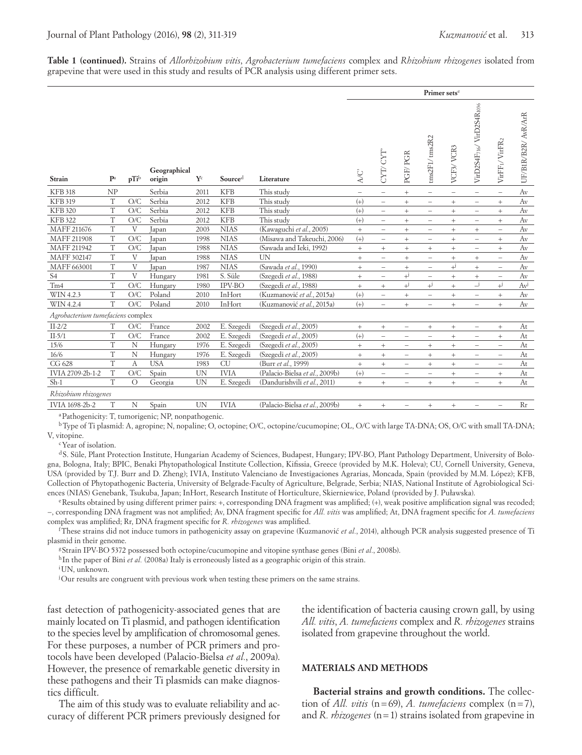**Table 1 (continued).** Strains of *Allorhizobium vitis*, *Agrobacterium tumefaciens* complex and *Rhizobium rhizogenes* isolated from grapevine that were used in this study and results of PCR analysis using different primer sets.

|                                   |                           |                  |                        |                         |             |                                |                                   |                                  |                          |                                  | Primer sets <sup>e</sup><br>VirD2S4F716/VirD2S4R1036<br>tms2F1/tms2R2<br>VirFF1/VirFR2<br>VCF3/VCR3<br>$\overline{\phantom{m}}$<br>$\overline{\phantom{0}}$<br>$\overline{\phantom{a}}$<br>$\overline{\phantom{0}}$<br>$+$<br>$^{+}$<br>$\qquad \qquad -$<br>$\overline{\phantom{a}}$<br>$^{+}$<br>$^{+}$<br>$\overline{\phantom{a}}$<br>$\overline{\phantom{a}}$<br>$\qquad \qquad +$<br>$^{+}$<br>$\qquad \qquad -$<br>$\overline{\phantom{a}}$<br>$^{+}$<br>$^{+}$<br>$\overline{\phantom{0}}$<br>$\overline{\phantom{0}}$<br>$\qquad \qquad +$<br>$\begin{array}{c} + \end{array}$<br>$\qquad \qquad -$<br>$\overline{\phantom{a}}$<br>$+$<br>$^{+}$<br>$+$<br>$\hspace{1.0cm} - \hspace{1.0cm}$<br>$\qquad \qquad +$<br>$\! + \!\!\!\!$<br>$\qquad \qquad -$<br>$\overline{\phantom{0}}$<br>$+^{j}$<br>$\! + \!\!\!\!$<br>$\overline{\phantom{0}}$<br>$\overline{\phantom{a}}$<br>$^{+}$<br>$\qquad \qquad +$<br>$\qquad \qquad -$<br>$\overline{\phantom{a}}$<br>$\overline{-}$ j<br>$+^{j}$<br>$+^{j}$<br>$^{+}$<br>$^{+}$<br>$^{+}$<br>$\overline{\phantom{0}}$<br>$\overline{\phantom{a}}$ |                                   |                                  |                     |
|-----------------------------------|---------------------------|------------------|------------------------|-------------------------|-------------|--------------------------------|-----------------------------------|----------------------------------|--------------------------|----------------------------------|-----------------------------------------------------------------------------------------------------------------------------------------------------------------------------------------------------------------------------------------------------------------------------------------------------------------------------------------------------------------------------------------------------------------------------------------------------------------------------------------------------------------------------------------------------------------------------------------------------------------------------------------------------------------------------------------------------------------------------------------------------------------------------------------------------------------------------------------------------------------------------------------------------------------------------------------------------------------------------------------------------------------------------------------------------------------------------------------------------|-----------------------------------|----------------------------------|---------------------|
| Strain                            | $\mathbf{P}^{\mathrm{a}}$ | pTi <sup>b</sup> | Geographical<br>origin | $\mathbf{Y}^{\text{c}}$ | Sourced     | Literature                     | <b>A/C</b>                        | CYT/ CYT''                       | PGF/PGR                  |                                  |                                                                                                                                                                                                                                                                                                                                                                                                                                                                                                                                                                                                                                                                                                                                                                                                                                                                                                                                                                                                                                                                                                     |                                   |                                  | UF/BIR/B2R/ AvR/ArR |
| <b>KFB 318</b>                    | NP                        |                  | Serbia                 | 2011                    | <b>KFB</b>  | This study                     | $\qquad \qquad -$                 | $\qquad \qquad -$                | $^{+}$                   |                                  |                                                                                                                                                                                                                                                                                                                                                                                                                                                                                                                                                                                                                                                                                                                                                                                                                                                                                                                                                                                                                                                                                                     |                                   |                                  | Av                  |
| <b>KFB 319</b>                    | $\mathbf T$               | O/C              | Serbia                 | 2012                    | <b>KFB</b>  | This study                     | $(+)$                             | $\overline{\phantom{0}}$         | $^{+}$                   |                                  |                                                                                                                                                                                                                                                                                                                                                                                                                                                                                                                                                                                                                                                                                                                                                                                                                                                                                                                                                                                                                                                                                                     |                                   |                                  | Av                  |
| <b>KFB 320</b>                    | T                         | O/C              | Serbia                 | 2012                    | <b>KFB</b>  | This study                     | $(+)$                             | $\overline{\phantom{m}}$         | $^{+}$                   |                                  |                                                                                                                                                                                                                                                                                                                                                                                                                                                                                                                                                                                                                                                                                                                                                                                                                                                                                                                                                                                                                                                                                                     |                                   |                                  | Av                  |
| <b>KFB 322</b>                    | $\mathbf T$               | O/C              | Serbia                 | 2012                    | <b>KFB</b>  | This study                     | $(+)$                             | $\overline{\phantom{0}}$         | $\qquad \qquad +$        |                                  |                                                                                                                                                                                                                                                                                                                                                                                                                                                                                                                                                                                                                                                                                                                                                                                                                                                                                                                                                                                                                                                                                                     |                                   |                                  | Av                  |
| MAFF 211676                       | T                         | V                | Japan                  | 2003                    | <b>NIAS</b> | (Kawaguchi et al., 2005)       | $^{+}$                            | $\overline{\phantom{0}}$         | $^{+}$                   |                                  |                                                                                                                                                                                                                                                                                                                                                                                                                                                                                                                                                                                                                                                                                                                                                                                                                                                                                                                                                                                                                                                                                                     |                                   |                                  | Av                  |
| MAFF 211908                       | T                         | O/C              | Japan                  | 1998                    | <b>NIAS</b> | (Misawa and Takeuchi, 2006)    | $(+)$                             | $\qquad \qquad -$                | $^{+}$                   |                                  |                                                                                                                                                                                                                                                                                                                                                                                                                                                                                                                                                                                                                                                                                                                                                                                                                                                                                                                                                                                                                                                                                                     |                                   |                                  | Av                  |
| MAFF 211942                       | $\mathbf T$               | O/C              | Japan                  | 1988                    | <b>NIAS</b> | (Sawada and Ieki, 1992)        | $\qquad \qquad +$                 | $+$                              | $^{+}$                   |                                  |                                                                                                                                                                                                                                                                                                                                                                                                                                                                                                                                                                                                                                                                                                                                                                                                                                                                                                                                                                                                                                                                                                     |                                   |                                  | Av                  |
| MAFF 302147                       | $\mathbf T$               | V                | Japan                  | 1988                    | <b>NIAS</b> | <b>UN</b>                      | $^{+}$                            | $\overline{\phantom{0}}$         | $^{+}$                   |                                  |                                                                                                                                                                                                                                                                                                                                                                                                                                                                                                                                                                                                                                                                                                                                                                                                                                                                                                                                                                                                                                                                                                     |                                   |                                  | Av                  |
| MAFF 663001                       | $\mathbf T$               | V                | Japan                  | 1987                    | <b>NIAS</b> | (Sawada et al., 1990)          | $\qquad \qquad +$                 | $\overline{\phantom{0}}$         | $^{+}$                   |                                  |                                                                                                                                                                                                                                                                                                                                                                                                                                                                                                                                                                                                                                                                                                                                                                                                                                                                                                                                                                                                                                                                                                     |                                   |                                  | Av                  |
| S <sub>4</sub>                    | $\mathbf T$               | V                | Hungary                | 1981                    | S. Süle     | (Szegedi et al., 1988)         | $^{+}$                            | $\overline{\phantom{a}}$         | $+^{j}$                  |                                  |                                                                                                                                                                                                                                                                                                                                                                                                                                                                                                                                                                                                                                                                                                                                                                                                                                                                                                                                                                                                                                                                                                     |                                   |                                  | Av                  |
| T <sub>m4</sub>                   | $\mathbf T$               | O/C              | Hungary                | 1980                    | IPV-BO      | (Szegedi et al., 1988)         | $\qquad \qquad +$                 | $\begin{array}{c} + \end{array}$ | $+^{j}$                  |                                  |                                                                                                                                                                                                                                                                                                                                                                                                                                                                                                                                                                                                                                                                                                                                                                                                                                                                                                                                                                                                                                                                                                     |                                   |                                  | Avi                 |
| WIN 4.2.3                         | $\mathbf T$               | O/C              | Poland                 | 2010                    | InHort      | (Kuzmanović et al., 2015a)     | $(+)$                             |                                  | $\qquad \qquad +$        |                                  |                                                                                                                                                                                                                                                                                                                                                                                                                                                                                                                                                                                                                                                                                                                                                                                                                                                                                                                                                                                                                                                                                                     |                                   |                                  | Av                  |
| WIN 4.2.4                         | T                         | O/C              | Poland                 | 2010                    | InHort      | (Kuzmanović et al., 2015a)     | $(+)$                             | $\overline{\phantom{0}}$         | $^{+}$                   | $\overline{\phantom{0}}$         | $^{+}$                                                                                                                                                                                                                                                                                                                                                                                                                                                                                                                                                                                                                                                                                                                                                                                                                                                                                                                                                                                                                                                                                              | $\hspace{1.0cm} - \hspace{1.0cm}$ | $\begin{array}{c} + \end{array}$ | Av                  |
| Agrobacterium tumefaciens complex |                           |                  |                        |                         |             |                                |                                   |                                  |                          |                                  |                                                                                                                                                                                                                                                                                                                                                                                                                                                                                                                                                                                                                                                                                                                                                                                                                                                                                                                                                                                                                                                                                                     |                                   |                                  |                     |
| $II-2/2$                          | T                         | O/C              | France                 | 2002                    | E. Szegedi  | (Szegedi et al., 2005)         | $\hspace{1.0cm} + \hspace{1.0cm}$ | $\begin{array}{c} + \end{array}$ | $\overline{\phantom{0}}$ | $^{+}$                           | $^{+}$                                                                                                                                                                                                                                                                                                                                                                                                                                                                                                                                                                                                                                                                                                                                                                                                                                                                                                                                                                                                                                                                                              | $\overline{\phantom{a}}$          | $\begin{array}{c} + \end{array}$ | At                  |
| $II-5/1$                          | T                         | O/C              | France                 | 2002                    | E. Szegedi  | (Szegedi et al., 2005)         | $(+)$                             | $\qquad \qquad -$                | $\overline{\phantom{0}}$ | $\overline{\phantom{0}}$         | $\ddot{}$                                                                                                                                                                                                                                                                                                                                                                                                                                                                                                                                                                                                                                                                                                                                                                                                                                                                                                                                                                                                                                                                                           | $\overline{\phantom{a}}$          | $^{+}$                           | At                  |
| 15/6                              | $\mathbf T$               | $\mathbf N$      | Hungary                | 1976                    | E. Szegedi  | (Szegedi et al., 2005)         | $^{+}$                            | $\! + \!\!\!\!$                  | $\overline{\phantom{0}}$ | $^{+}$                           | $\qquad \qquad +$                                                                                                                                                                                                                                                                                                                                                                                                                                                                                                                                                                                                                                                                                                                                                                                                                                                                                                                                                                                                                                                                                   | $\overline{\phantom{a}}$          | $\overline{\phantom{a}}$         | At                  |
| 16/6                              | $\mathbf T$               | N                | Hungary                | 1976                    | E. Szegedi  | (Szegedi et al., 2005)         | $^{+}$                            | $+$                              | $\overline{\phantom{0}}$ | $^{+}$                           | $^{+}$                                                                                                                                                                                                                                                                                                                                                                                                                                                                                                                                                                                                                                                                                                                                                                                                                                                                                                                                                                                                                                                                                              | $\overline{\phantom{a}}$          | $\overline{\phantom{0}}$         | At                  |
| CG 628                            | T                         | А                | <b>USA</b>             | 1983                    | <b>CU</b>   | (Burr et al., 1999)            | $\qquad \qquad +$                 | $^{+}$                           | $\overline{\phantom{0}}$ | $^{+}$                           | $^{+}$                                                                                                                                                                                                                                                                                                                                                                                                                                                                                                                                                                                                                                                                                                                                                                                                                                                                                                                                                                                                                                                                                              | $\overline{\phantom{m}}$          |                                  | At                  |
| IVIA 2709-2b-1-2                  | $\mathbf T$               | O/C              | Spain                  | <b>UN</b>               | <b>IVIA</b> | (Palacio-Bielsa et al., 2009b) | $(+)$                             |                                  | $\overline{\phantom{0}}$ | $\overline{\phantom{0}}$         | $\qquad \qquad +$                                                                                                                                                                                                                                                                                                                                                                                                                                                                                                                                                                                                                                                                                                                                                                                                                                                                                                                                                                                                                                                                                   | $\overline{\phantom{a}}$          | $\qquad \qquad +$                | At                  |
| $Sh-1$                            | T                         | $\Omega$         | Georgia                | <b>UN</b>               | E. Szegedi  | (Dandurishvili et al., 2011)   | $^{+}$                            | $^{+}$                           | $\overline{\phantom{0}}$ | $\! + \!\!\!\!$                  | $^{+}$                                                                                                                                                                                                                                                                                                                                                                                                                                                                                                                                                                                                                                                                                                                                                                                                                                                                                                                                                                                                                                                                                              | $\qquad \qquad -$                 | $^{+}$                           | At                  |
| Rhizobium rhizogenes              |                           |                  |                        |                         |             |                                |                                   |                                  |                          |                                  |                                                                                                                                                                                                                                                                                                                                                                                                                                                                                                                                                                                                                                                                                                                                                                                                                                                                                                                                                                                                                                                                                                     |                                   |                                  |                     |
| IVIA 1698-2b-2                    | T                         | N                | Spain                  | <b>UN</b>               | <b>IVIA</b> | (Palacio-Bielsa et al., 2009b) | $^{+}$                            | $^{+}$                           | $\qquad \qquad -$        | $\begin{array}{c} + \end{array}$ | $^{+}$                                                                                                                                                                                                                                                                                                                                                                                                                                                                                                                                                                                                                                                                                                                                                                                                                                                                                                                                                                                                                                                                                              | -                                 | $\qquad \qquad -$                | Rr                  |

aPathogenicity: T, tumorigenic; NP, nonpathogenic.

bType of Ti plasmid: A, agropine; N, nopaline; O, octopine; O/C, octopine/cucumopine; OL, O/C with large TA-DNA; OS, O/C with small TA-DNA; V, vitopine.

cYear of isolation.

d S. Süle, Plant Protection Institute, Hungarian Academy of Sciences, Budapest, Hungary; IPV-BO, Plant Pathology Department, University of Bologna, Bologna, Italy; BPIC, Benaki Phytopathological Institute Collection, Kifissia, Greece (provided by M.K. Holeva); CU, Cornell University, Geneva, USA (provided by T.J. Burr and D. Zheng); IVIA, Instituto Valenciano de Investigaciones Agrarias, Moncada, Spain (provided by M.M. López); KFB, Collection of Phytopathogenic Bacteria, University of Belgrade-Faculty of Agriculture, Belgrade, Serbia; NIAS, National Institute of Agrobiological Sciences (NIAS) Genebank, Tsukuba, Japan; InHort, Research Institute of Horticulture, Skierniewice, Poland (provided by J. Puławska).

eResults obtained by using different primer pairs: +, corresponding DNA fragment was amplified; (+), weak positive amplification signal was recoded; −, corresponding DNA fragment was not amplified; Av, DNA fragment specific for *All. vitis* was amplified; At, DNA fragment specific for *A. tumefaciens*  complex was amplified; Rr, DNA fragment specific for *R. rhizogenes* was amplified.

<sup>f</sup>These strains did not induce tumors in pathogenicity assay on grapevine (Kuzmanović et al., 2014), although PCR analysis suggested presence of Ti plasmid in their genome.

gStrain IPV-BO 5372 possessed both octopine/cucumopine and vitopine synthase genes (Bini *et al.*, 2008b).

hIn the paper of Bini et al. (2008a) Italy is erroneously listed as a geographic origin of this strain.

i UN, unknown.

j Our results are congruent with previous work when testing these primers on the same strains.

fast detection of pathogenicity-associated genes that are mainly located on Ti plasmid, and pathogen identification to the species level by amplification of chromosomal genes. For these purposes, a number of PCR primers and protocols have been developed (Palacio-Bielsa *et al.*, 2009a). However, the presence of remarkable genetic diversity in these pathogens and their Ti plasmids can make diagnostics difficult.

The aim of this study was to evaluate reliability and accuracy of different PCR primers previously designed for

the identification of bacteria causing crown gall, by using *All. vitis*, *A. tumefaciens* complex and *R. rhizogenes* strains isolated from grapevine throughout the world.

#### **MATERIALS AND METHODS**

**Bacterial strains and growth conditions.** The collection of *All. vitis* (n=69), *A. tumefaciens* complex (n=7), and *R. rhizogenes* (n=1) strains isolated from grapevine in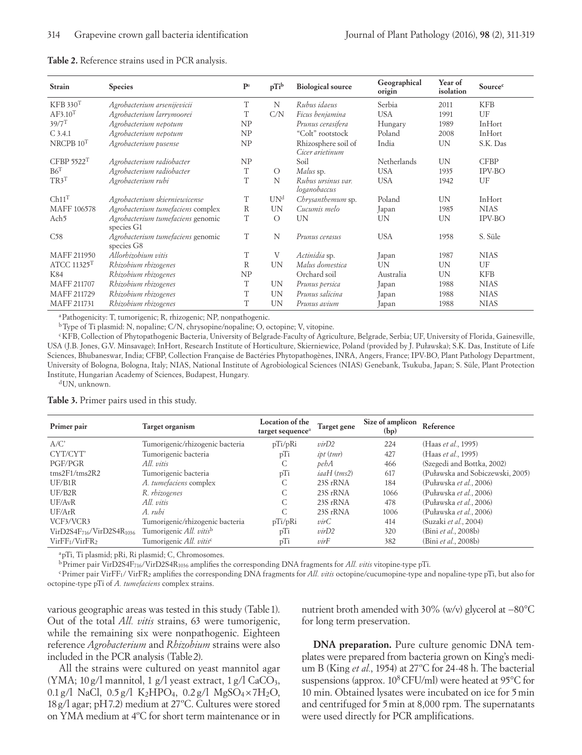| Strain                    | <b>Species</b>                                  | $\mathbf{P}^{\mathrm{a}}$ | pTib            | <b>Biological source</b>               | Geographical<br>origin | Year of<br>isolation | Sourcec     |
|---------------------------|-------------------------------------------------|---------------------------|-----------------|----------------------------------------|------------------------|----------------------|-------------|
| KFB 330 <sup>T</sup>      | Agrobacterium arsenijevicii                     | T                         | N               | Rubus idaeus                           | Serbia                 | 2011                 | <b>KFB</b>  |
| AF3.10 <sup>T</sup>       | Agrobacterium larrymoorei                       | T                         | C/N             | Ficus benjamina                        | <b>USA</b>             | 1991                 | UF          |
| $39/7$ <sup>T</sup>       | Agrobacterium nepotum                           | NP                        |                 | Prunus cerasifera                      | Hungary                | 1989                 | InHort      |
| $C$ 3.4.1                 | Agrobacterium nepotum                           | NP                        |                 | "Colt" rootstock                       | Poland                 | 2008                 | InHort      |
| NRCPB $10^T$              | Agrobacterium pusense                           | NP                        |                 | Rhizosphere soil of<br>Cicer arietinum | India                  | <b>UN</b>            | S.K. Das    |
| CFBP 5522 <sup>T</sup>    | Agrobacterium radiobacter                       | NP                        |                 | Soil                                   | Netherlands            | <b>UN</b>            | <b>CFBP</b> |
| B6 <sup>T</sup>           | Agrobacterium radiobacter                       | T                         | $\circ$         | Malus sp.                              | <b>USA</b>             | 1935                 | IPV-BO      |
| TR3 <sup>T</sup>          | Agrobacterium rubi                              | T                         | N               | Rubus ursinus var.<br>loganobaccus     | <b>USA</b>             | 1942                 | UF          |
| Ch11 <sup>T</sup>         | Agrobacterium skierniewicense                   | T                         | UN <sup>d</sup> | Chrysanthemum sp.                      | Poland                 | <b>UN</b>            | InHort      |
| MAFF 106578               | Agrobacterium tumefaciens complex               | $\mathbb{R}$              | <b>UN</b>       | Cucumis melo                           | Japan                  | 1985                 | <b>NIAS</b> |
| Ach <sub>5</sub>          | Agrobacterium tumefaciens genomic<br>species G1 | T                         | $\circ$         | <b>UN</b>                              | <b>UN</b>              | <b>UN</b>            | IPV-BO      |
| C58                       | Agrobacterium tumefaciens genomic<br>species G8 | T                         | N               | Prunus cerasus                         | <b>USA</b>             | 1958                 | S. Süle     |
| MAFF 211950               | Allorhizobium vitis                             | T                         | V               | Actinidia sp.                          | Japan                  | 1987                 | <b>NIAS</b> |
| ATCC $11325$ <sup>T</sup> | Rhizobium rhizogenes                            | R                         | <b>UN</b>       | Malus domestica                        | <b>UN</b>              | UN                   | UF          |
| K84                       | Rhizobium rhizogenes                            | NP                        |                 | Orchard soil                           | Australia              | <b>UN</b>            | <b>KFB</b>  |
| MAFF 211707               | Rhizobium rhizogenes                            | T                         | UN              | Prunus persica                         | Japan                  | 1988                 | <b>NIAS</b> |
| MAFF 211729               | Rhizobium rhizogenes                            | T                         | <b>UN</b>       | Prunus salicina                        | Japan                  | 1988                 | <b>NIAS</b> |
| MAFF 211731               | Rhizobium rhizogenes                            | T                         | <b>UN</b>       | Prunus avium                           | Japan                  | 1988                 | <b>NIAS</b> |

#### **Table 2.** Reference strains used in PCR analysis.

aPathogenicity: T, tumorigenic; R, rhizogenic; NP, nonpathogenic.

bType of Ti plasmid: N, nopaline; C/N, chrysopine/nopaline; O, octopine; V, vitopine.

<sup>c</sup>KFB, Collection of Phytopathogenic Bacteria, University of Belgrade-Faculty of Agriculture, Belgrade, Serbia; UF, University of Florida, Gainesville, USA (J.B. Jones, G.V. Minsavage); InHort, Research Institute of Horticulture, Skierniewice, Poland (provided by J. Puławska); S.K. Das, Institute of Life Sciences, Bhubaneswar, India; CFBP, Collection Française de Bactéries Phytopathogènes, INRA, Angers, France; IPV-BO, Plant Pathology Department, University of Bologna, Bologna, Italy; NIAS, National Institute of Agrobiological Sciences (NIAS) Genebank, Tsukuba, Japan; S. Süle, Plant Protection Institute, Hungarian Academy of Sciences, Budapest, Hungary.

dUN, unknown.

**Table 3.** Primer pairs used in this study.

| Primer pair                            | Target organism                 | Location of the<br>target sequence <sup>a</sup> | Target gene | Size of amplicon<br>(bp) | Reference                        |
|----------------------------------------|---------------------------------|-------------------------------------------------|-------------|--------------------------|----------------------------------|
| A/C'                                   | Tumorigenic/rhizogenic bacteria | pTi/pRi                                         | virD2       | 224                      | (Haas et al., 1995)              |
| CYT/CYT'                               | Tumorigenic bacteria            | pTi                                             | ipt (tmr)   | 427                      | (Haas et al., 1995)              |
| PGF/PGR                                | All vitis                       | С                                               | pebA        | 466                      | (Szegedi and Bottka, 2002)       |
| tms2F1/tms2R2                          | Tumorigenic bacteria            | pTi                                             | iaaH (tms2) | 617                      | (Puławska and Sobiczewski, 2005) |
| UF/B1R                                 | A. tumefaciens complex          | С                                               | 23S rRNA    | 184                      | (Puławska et al., 2006)          |
| UF/B <sub>2</sub> R                    | R. rhizogenes                   | С                                               | 23S rRNA    | 1066                     | (Puławska et al., 2006)          |
| UF/AvR                                 | All vitis                       | C                                               | 23S rRNA    | 478                      | (Puławska et al., 2006)          |
| UF/ArR                                 | A. rubi                         | C                                               | 23S rRNA    | 1006                     | (Puławska et al., 2006)          |
| VCF3/VCR3                              | Tumorigenic/rhizogenic bacteria | pTi/pRi                                         | virC        | 414                      | (Suzaki et al., 2004)            |
| $VirD2S4F716/VirD2S4R1036$             | Tumorigenic All. vitisb         | pTi                                             | virD2       | 320                      | (Bini et al., 2008b)             |
| VirFF <sub>1</sub> /VirFR <sub>2</sub> | Tumorigenic All. vitisc         | pTi                                             | virF        | 382                      | (Bini et al., 2008b)             |

apTi, Ti plasmid; pRi, Ri plasmid; C, Chromosomes.

bPrimer pair VirD2S4F716/VirD2S4R1036 amplifies the corresponding DNA fragments for *All. vitis* vitopine-type pTi.

cPrimer pair VirFF1/ VirFR2 amplifies the corresponding DNA fragments for *All. vitis* octopine/cucumopine-type and nopaline-type pTi, but also for octopine-type pTi of *A. tumefaciens* complex strains.

various geographic areas was tested in this study (Table1). Out of the total *All. vitis* strains, 63 were tumorigenic, while the remaining six were nonpathogenic. Eighteen reference *Agrobacterium* and *Rhizobium* strains were also included in the PCR analysis (Table2).

All the strains were cultured on yeast mannitol agar (YMA;  $10 g/l$  mannitol, 1 g/l yeast extract, 1 g/l CaCO<sub>3</sub>, 0.1 g/l NaCl,  $0.5 g/l$  K<sub>2</sub>HPO<sub>4</sub>,  $0.2 g/l$  MgSO<sub>4</sub>×7H<sub>2</sub>O, 18g/l agar; pH7.2) medium at 27ºC. Cultures were stored on YMA medium at 4ºC for short term maintenance or in

nutrient broth amended with 30% (w/v) glycerol at −80°C for long term preservation.

**DNA preparation.** Pure culture genomic DNA templates were prepared from bacteria grown on King's medium B (King *et al.*, 1954) at 27ºC for 24-48 h. The bacterial suspensions (approx. 10<sup>8</sup>CFU/ml) were heated at 95°C for 10 min. Obtained lysates were incubated on ice for 5min and centrifuged for 5min at 8,000 rpm. The supernatants were used directly for PCR amplifications.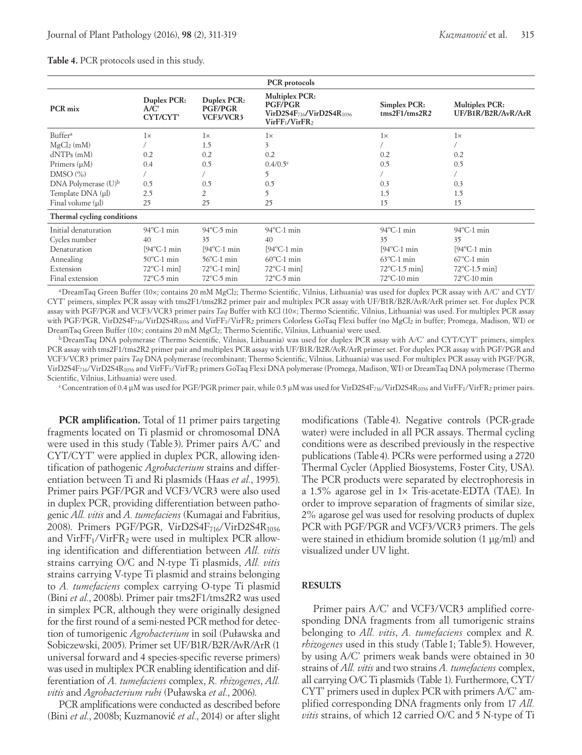|                                 |                                 |                                            | PCR protocols                                                                                                 |                                             |                                             |
|---------------------------------|---------------------------------|--------------------------------------------|---------------------------------------------------------------------------------------------------------------|---------------------------------------------|---------------------------------------------|
| PCR mix                         | Duplex PCR:<br>A/C'<br>CYT/CYT' | Duplex PCR:<br><b>PGF/PGR</b><br>VCF3/VCR3 | <b>Multiplex PCR:</b><br><b>PGF/PGR</b><br>VirD2S4F716/VirD2S4R1036<br>VirFF <sub>1</sub> /VirFR <sub>2</sub> | Simplex PCR:<br>$\frac{2F1}{\text{rms2R2}}$ | <b>Multiplex PCR:</b><br>UF/B1R/B2R/AvR/ArR |
| Buffer <sup>a</sup>             | $1\times$                       | $1\times$                                  | $1\times$                                                                                                     | $1\times$                                   | $1\times$                                   |
| $MgCl2$ (mM)                    |                                 | 1.5                                        | 3                                                                                                             |                                             |                                             |
| $dNTPs$ (mM)                    | 0.2                             | 0.2                                        | 0.2                                                                                                           | 0.2                                         | 0.2                                         |
| Primers (µM)                    | 0.4                             | 0.5                                        | $0.4/0.5^{\circ}$                                                                                             | 0.5                                         | 0.5                                         |
| DMSO(%)                         |                                 |                                            | 5                                                                                                             |                                             |                                             |
| DNA Polymerase (U) <sup>b</sup> | 0.5                             | 0.5                                        | 0.5                                                                                                           | 0.3                                         | 0.3                                         |
| Template DNA (µl)               | 2.5                             | 2                                          | 5                                                                                                             | 1.5                                         | 1.5                                         |
| Final volume (µl)               | 25                              | 25                                         | 25                                                                                                            | 15                                          | 15                                          |
| Thermal cycling conditions      |                                 |                                            |                                                                                                               |                                             |                                             |
| Initial denaturation            | $94^{\circ}$ C-1 min            | $94^{\circ}$ C-5 min                       | $94^{\circ}$ C-1 min                                                                                          | $94^{\circ}$ C-1 min                        | $94^{\circ}$ C-1 min                        |
| Cycles number                   | 40                              | 35                                         | 40                                                                                                            | 35                                          | 35                                          |
| Denaturation                    | $[94^{\circ}C-1$ min            | $[94^{\circ}C-1$ min                       | $[94^{\circ}$ C-1 min                                                                                         | $[94^{\circ}$ C-1 min                       | $[94^{\circ}$ C-1 min                       |
| Annealing                       | $50^{\circ}$ C-1 min            | $56^{\circ}$ C-1 min                       | $60^{\circ}$ C-1 min                                                                                          | $63^{\circ}$ C-1 min                        | $67^{\circ}$ C-1 min                        |
| Extension                       | $72^{\circ}$ C-1 min            | $72^{\circ}$ C-1 min                       | $72^{\circ}$ C-1 min                                                                                          | $72^{\circ}$ C-1.5 min]                     | $72^{\circ}$ C-1.5 min]                     |
| Final extension                 | $72^{\circ}$ C-5 min            | $72^{\circ}$ C-5 min                       | $72^{\circ}$ C-5 min                                                                                          | $72^{\circ}$ C-10 min                       | $72^{\circ}$ C-10 min                       |

### **Table 4.** PCR protocols used in this study.

aDreamTaq Green Buffer (10×; contains 20 mM MgCl2; Thermo Scientific, Vilnius, Lithuania) was used for duplex PCR assay with A/C' and CYT/ CYT' primers, simplex PCR assay with tms2F1/tms2R2 primer pair and multiplex PCR assay with UF/B1R/B2R/AvR/ArR primer set. For duplex PCR assay with PGF/PGR and VCF3/VCR3 primer pairs *Taq* Buffer with KCl (10×; Thermo Scientific, Vilnius, Lithuania) was used. For multiplex PCR assay with PGF/PGR, VirD2S4F716/VirD2S4R1036 and VirFF1/VirFR2 primers Colorless GoTaq Flexi buffer (no MgCl2 in buffer; Promega, Madison, WI) or DreamTaq Green Buffer (10×; contains 20 mM MgCl<sub>2</sub>; Thermo Scientific, Vilnius, Lithuania) were used.

bDreamTaq DNA polymerase (Thermo Scientific, Vilnius, Lithuania) was used for duplex PCR assay with A/C' and CYT/CYT' primers, simplex PCR assay with tms2F1/tms2R2 primer pair and multiplex PCR assay with UF/B1R/B2R/AvR/ArR primer set. For duplex PCR assay with PGF/PGR and VCF3/VCR3 primer pairs *Taq* DNA polymerase (recombinant; Thermo Scientific, Vilnius, Lithuania) was used. For multiplex PCR assay with PGF/PGR, VirD2S4F716/VirD2S4R1036 and VirFF1/VirFR2 primers GoTaq Flexi DNA polymerase (Promega, Madison, WI) or DreamTaq DNA polymerase (Thermo Scientific, Vilnius, Lithuania) were used.

 $c$ Concentration of 0.4 µM was used for PGF/PGR primer pair, while 0.5 µM was used for VirD2S4F<sub>716</sub>/VirD2S4R<sub>1036</sub> and VirFF<sub>1</sub>/VirFR<sub>2</sub> primer pairs.

**PCR** amplification. Total of 11 primer pairs targeting fragments located on Ti plasmid or chromosomal DNA were used in this study (Table 3). Primer pairs A/C' and CYT/CYT' were applied in duplex PCR, allowing identification of pathogenic *Agrobacterium* strains and differentiation between Ti and Ri plasmids (Haas *et al.*, 1995). Primer pairs PGF/PGR and VCF3/VCR3 were also used in duplex PCR, providing differentiation between pathogenic *All. vitis* and *A. tumefaciens* (Kumagai and Fabritius, 2008). Primers PGF/PGR, VirD2S4F<sub>716</sub>/VirD2S4R<sub>1036</sub> and  $VirFF_1/VirFR_2$  were used in multiplex PCR allowing identification and differentiation between *All. vitis* strains carrying O/C and N-type Ti plasmids, *All. vitis* strains carrying V-type Ti plasmid and strains belonging to *A. tumefaciens* complex carrying O-type Ti plasmid (Bini *et al.*, 2008b). Primer pair tms2F1/tms2R2 was used in simplex PCR, although they were originally designed for the first round of a semi-nested PCR method for detection of tumorigenic *Agrobacterium* in soil (Puławska and Sobiczewski, 2005). Primer set UF/B1R/B2R/AvR/ArR (1 universal forward and 4 species-specific reverse primers) was used in multiplex PCR enabling identification and differentiation of *A. tumefaciens* complex, *R. rhizogenes*, *All. vitis* and *Agrobacterium rubi* (Puławska *et al.*, 2006).

PCR amplifications were conducted as described before (Bini *et al.*, 2008b; Kuzmanović *et al.*, 2014) or after slight

modifications (Table 4). Negative controls (PCR-grade water) were included in all PCR assays. Thermal cycling conditions were as described previously in the respective publications (Table4). PCRs were performed using a 2720 Thermal Cycler (Applied Biosystems, Foster City, USA). The PCR products were separated by electrophoresis in a 1.5% agarose gel in 1× Tris-acetate-EDTA (TAE). In order to improve separation of fragments of similar size, 2% agarose gel was used for resolving products of duplex PCR with PGF/PGR and VCF3/VCR3 primers. The gels were stained in ethidium bromide solution (1 μg/ml) and visualized under UV light.

# **RESULTS**

Primer pairs A/C' and VCF3/VCR3 amplified corresponding DNA fragments from all tumorigenic strains belonging to *All. vitis*, *A. tumefaciens* complex and *R. rhizogenes* used in this study (Table 1; Table 5). However, by using A/C' primers weak bands were obtained in 30 strains of *All. vitis* and two strains *A. tumefaciens* complex, all carrying O/C Ti plasmids (Table 1). Furthermore, CYT/ CYT' primers used in duplex PCR with primers A/C' amplified corresponding DNA fragments only from 17 *All. vitis* strains, of which 12 carried O/C and 5 N-type of Ti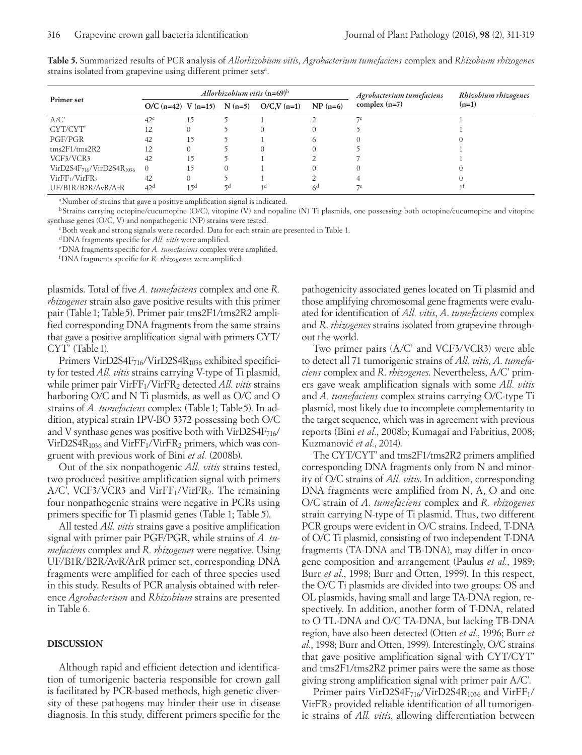|                                             |                 |                 | Allorhizobium vitis $(n=69)^b$ |                                         |                | Rhizobium rhizogenes                         |         |
|---------------------------------------------|-----------------|-----------------|--------------------------------|-----------------------------------------|----------------|----------------------------------------------|---------|
| Primer set                                  |                 |                 |                                | O/C (n=42) V (n=15) N (n=5) O/C,V (n=1) | $NP(n=6)$      | Agrobacterium tumefaciens<br>complex $(n=7)$ | $(n=1)$ |
| A/C'                                        | 42 <sup>c</sup> | 15              |                                |                                         |                |                                              |         |
| CYT/CYT'                                    |                 |                 |                                |                                         |                |                                              |         |
| PGF/PGR                                     | 42              | 15              |                                |                                         |                |                                              |         |
| $\text{rms}2\text{F}1/\text{rms}2\text{R}2$ | 12              |                 |                                |                                         |                |                                              |         |
| VCF3/VCR3                                   | 42              | 15              |                                |                                         |                |                                              |         |
| $VirD2S4F716/VirD2S4R1036$                  | $\theta$        | 15              |                                |                                         |                |                                              |         |
| VirFF <sub>1</sub> /VirFR <sub>2</sub>      | 42              |                 |                                |                                         |                |                                              |         |
| UF/B1R/B2R/AvR/ArR                          | 42 <sup>d</sup> | 15 <sup>d</sup> | $\mathsf{G}$                   | 1 d                                     | 6 <sup>d</sup> |                                              |         |

**Table 5.** Summarized results of PCR analysis of *Allorhizobium vitis*, *Agrobacterium tumefaciens* complex and *Rhizobium rhizogenes* strains isolated from grapevine using different primer sets<sup>a</sup>.

<sup>a</sup>Number of strains that gave a positive amplification signal is indicated.

<sup>b</sup> Strains carrying octopine/cucumopine (O/C), vitopine (V) and nopaline (N) Ti plasmids, one possessing both octopine/cucumopine and vitopine synthase genes (O/C, V) and nonpathogenic (NP) strains were tested.

cBoth weak and strong signals were recorded. Data for each strain are presented in Table 1.

dDNA fragments specific for *All. vitis* were amplified.

eDNA fragments specific for *A. tumefaciens* complex were amplified.

fDNA fragments specific for *R. rhizogenes* were amplified.

plasmids. Total of five *A. tumefaciens* complex and one *R. rhizogenes* strain also gave positive results with this primer pair (Table1; Table5). Primer pair tms2F1/tms2R2 amplified corresponding DNA fragments from the same strains that gave a positive amplification signal with primers CYT/ CYT' (Table 1).

Primers VirD2S4F<sub>716</sub>/VirD2S4R<sub>1036</sub> exhibited specificity for tested *All. vitis* strains carrying V-type of Ti plasmid, while primer pair VirFF<sub>1</sub>/VirFR<sub>2</sub> detected *All. vitis* strains harboring O/C and N Ti plasmids, as well as O/C and O strains of *A. tumefaciens* complex (Table 1; Table 5). In addition, atypical strain IPV-BO 5372 possessing both O/C and V synthase genes was positive both with VirD2S4 $F_{716}$ / VirD2S4 $R_{1036}$  and Vir $FF_1/VirFR_2$  primers, which was congruent with previous work of Bini *et al.* (2008b).

Out of the six nonpathogenic *All. vitis* strains tested, two produced positive amplification signal with primers  $A/C$ , VCF3/VCR3 and VirFF<sub>1</sub>/VirFR<sub>2</sub>. The remaining four nonpathogenic strains were negative in PCRs using primers specific for Ti plasmid genes (Table 1; Table 5).

All tested *All. vitis* strains gave a positive amplification signal with primer pair PGF/PGR, while strains of *A. tumefaciens* complex and *R. rhizogenes* were negative. Using UF/B1R/B2R/AvR/ArR primer set, corresponding DNA fragments were amplified for each of three species used in this study. Results of PCR analysis obtained with reference *Agrobacterium* and *Rhizobium* strains are presented in Table 6.

### **DISCUSSION**

Although rapid and efficient detection and identification of tumorigenic bacteria responsible for crown gall is facilitated by PCR-based methods, high genetic diversity of these pathogens may hinder their use in disease diagnosis. In this study, different primers specific for the pathogenicity associated genes located on Ti plasmid and those amplifying chromosomal gene fragments were evaluated for identification of *All. vitis*, *A*. *tumefaciens* complex and *R*. *rhizogenes* strains isolated from grapevine throughout the world.

Two primer pairs (A/C' and VCF3/VCR3) were able to detect all 71 tumorigenic strains of *All. vitis*, *A*. *tumefaciens* complex and *R*. *rhizogenes*. Nevertheless, A/C' primers gave weak amplification signals with some *All. vitis* and *A. tumefaciens* complex strains carrying O/C-type Ti plasmid, most likely due to incomplete complementarity to the target sequence, which was in agreement with previous reports (Bini *et al.*, 2008b; Kumagai and Fabritius, 2008; Kuzmanović et al., 2014).

The CYT/CYT' and tms2F1/tms2R2 primers amplified corresponding DNA fragments only from N and minority of O/C strains of *All. vitis*. In addition, corresponding DNA fragments were amplified from N, A, O and one O/C strain of *A. tumefaciens* complex and *R. rhizogenes* strain carrying N-type of Ti plasmid. Thus, two different PCR groups were evident in O/C strains. Indeed, T-DNA of O/C Ti plasmid, consisting of two independent T-DNA fragments (TA-DNA and TB-DNA), may differ in oncogene composition and arrangement (Paulus *et al.*, 1989; Burr *et al.*, 1998; Burr and Otten, 1999). In this respect, the O/C Ti plasmids are divided into two groups: OS and OL plasmids, having small and large TA-DNA region, respectively. In addition, another form of T-DNA, related to O TL-DNA and O/C TA-DNA, but lacking TB-DNA region, have also been detected (Otten *et al.*, 1996; Burr *et al.*, 1998; Burr and Otten, 1999). Interestingly, O/C strains that gave positive amplification signal with CYT/CYT' and tms2F1/tms2R2 primer pairs were the same as those giving strong amplification signal with primer pair A/C'.

Primer pairs VirD2S4F $_{716}$ /VirD2S4R $_{1036}$  and VirFF $_1$ / VirFR<sub>2</sub> provided reliable identification of all tumorigenic strains of *All. vitis*, allowing differentiation between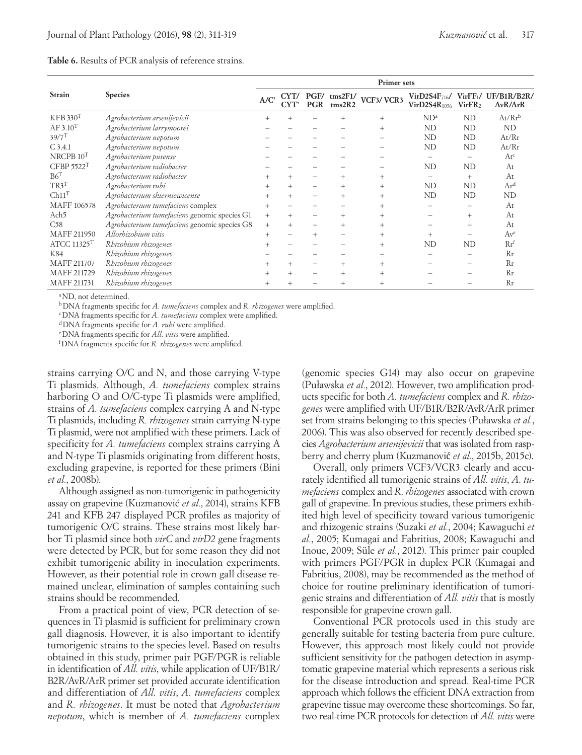|                         |                                              |        | <b>Primer</b> sets |                    |                   |                |                                                |                               |                                    |  |  |  |
|-------------------------|----------------------------------------------|--------|--------------------|--------------------|-------------------|----------------|------------------------------------------------|-------------------------------|------------------------------------|--|--|--|
| <b>Strain</b>           | <b>Species</b>                               | A/C'   | CYT/<br>CYT'       | PGF/<br><b>PGR</b> | tms2F1/<br>rms2R2 | VCF3/VCR3      | VirD2S4F <sub>716</sub> /<br>$VirD2S4R_{1036}$ | VirFF1/<br>VirFR <sub>2</sub> | UF/B1R/B2R/<br>AvR/ArR             |  |  |  |
| KFB 330 <sup>T</sup>    | Agrobacterium arsenijevicii                  |        |                    |                    |                   | $^{+}$         | ND <sup>a</sup>                                | <b>ND</b>                     | $At/Rr^b$                          |  |  |  |
| AF 3.10 <sup>T</sup>    | Agrobacterium larrymoorei                    |        |                    |                    |                   | $^{+}$         | <b>ND</b>                                      | <b>ND</b>                     | ND                                 |  |  |  |
| $39/7$ <sup>T</sup>     | Agrobacterium nepotum                        |        |                    |                    |                   |                | ND                                             | ND                            | At/Rr                              |  |  |  |
| $C$ 3.4.1               | Agrobacterium nepotum                        |        |                    |                    |                   |                | ND                                             | ND                            | At/Rr                              |  |  |  |
| $NRCPB$ $10T$           | Agrobacterium pusense                        |        |                    |                    |                   |                |                                                |                               | At <sup>c</sup>                    |  |  |  |
| CFBP 5522T              | Agrobacterium radiobacter                    |        |                    |                    |                   |                | <b>ND</b>                                      | <b>ND</b>                     | At                                 |  |  |  |
| B6 <sup>T</sup>         | Agrobacterium radiobacter                    | $^{+}$ | $^{+}$             |                    |                   | $^{+}$         |                                                | $+$                           | At                                 |  |  |  |
| TR3 <sup>T</sup>        | Agrobacterium rubi                           |        |                    |                    |                   | $^{+}$         | <b>ND</b>                                      | ND                            | Ar <sup>d</sup>                    |  |  |  |
| Ch11 <sup>T</sup>       | Agrobacterium skierniewicense                | $+$    |                    |                    |                   | $^{+}$         | <b>ND</b>                                      | ND                            | ND                                 |  |  |  |
| MAFF 106578             | Agrobacterium tumefaciens complex            | $+$    |                    |                    |                   | $\overline{+}$ |                                                |                               | At                                 |  |  |  |
| Ach <sub>5</sub>        | Agrobacterium tumefaciens genomic species G1 | $+$    |                    |                    |                   | $^{+}$         |                                                | $+$                           | At                                 |  |  |  |
| C58                     | Agrobacterium tumefaciens genomic species G8 | $+$    |                    |                    |                   | $^{+}$         |                                                |                               | At                                 |  |  |  |
| MAFF 211950             | Allorhizobium vitis                          | $+$    |                    | $^{+}$             |                   | $+$            | $^{+}$                                         |                               | Av <sup>e</sup>                    |  |  |  |
| ATCC 11325 <sup>T</sup> | Rhizobium rhizogenes                         |        |                    |                    |                   | $^{+}$         | ND                                             | ND                            | $\mathbf{R} \mathbf{r}^{\text{t}}$ |  |  |  |
| K84                     | Rhizobium rhizogenes                         |        |                    |                    |                   |                |                                                |                               | Rr                                 |  |  |  |
| MAFF 211707             | Rhizobium rhizogenes                         | $^{+}$ | $^{+}$             | -                  | $^{+}$            | $^{+}$         |                                                |                               | Rr                                 |  |  |  |
| MAFF 211729             | Rhizobium rhizogenes                         |        |                    |                    |                   |                |                                                |                               | Rr                                 |  |  |  |
| MAFF 211731             | Rhizobium rhizogenes                         | $+$    |                    |                    |                   |                |                                                |                               | Rr                                 |  |  |  |

#### **Table 6.** Results of PCR analysis of reference strains.

<sup>a</sup>ND, not determined.

bDNA fragments specific for *A. tumefaciens* complex and *R. rhizogenes* were amplified.

cDNA fragments specific for *A. tumefaciens* complex were amplified.

dDNA fragments specific for *A. rubi* were amplified.

eDNA fragments specific for *All. vitis* were amplified.

fDNA fragments specific for *R. rhizogenes* were amplified.

strains carrying O/C and N, and those carrying V-type Ti plasmids. Although, *A. tumefaciens* complex strains harboring O and O/C-type Ti plasmids were amplified, strains of *A. tumefaciens* complex carrying A and N-type Ti plasmids, including *R. rhizogenes* strain carrying N-type Ti plasmid, were not amplified with these primers. Lack of specificity for *A. tumefaciens* complex strains carrying A and N-type Ti plasmids originating from different hosts, excluding grapevine, is reported for these primers (Bini *et al.*, 2008b).

Although assigned as non-tumorigenic in pathogenicity assay on grapevine (Kuzmanović *et al.*, 2014), strains KFB 241 and KFB 247 displayed PCR profiles as majority of tumorigenic O/C strains. These strains most likely harbor Ti plasmid since both *virC* and *virD2* gene fragments were detected by PCR, but for some reason they did not exhibit tumorigenic ability in inoculation experiments. However, as their potential role in crown gall disease remained unclear, elimination of samples containing such strains should be recommended.

From a practical point of view, PCR detection of sequences in Ti plasmid is sufficient for preliminary crown gall diagnosis. However, it is also important to identify tumorigenic strains to the species level. Based on results obtained in this study, primer pair PGF/PGR is reliable in identification of *All. vitis*, while application of UF/B1R/ B2R/AvR/ArR primer set provided accurate identification and differentiation of *All. vitis*, *A. tumefaciens* complex and *R. rhizogenes*. It must be noted that *Agrobacterium nepotum*, which is member of *A. tumefaciens* complex

(genomic species G14) may also occur on grapevine (Puławska *et al.*, 2012). However, two amplification products specific for both *A. tumefaciens* complex and *R. rhizogenes* were amplified with UF/B1R/B2R/AvR/ArR primer set from strains belonging to this species (Puławska *et al.*, 2006). This was also observed for recently described species *Agrobacterium arsenijevicii* that was isolated from raspberry and cherry plum (Kuzmanović *et al.*, 2015b, 2015c).

Overall, only primers VCF3/VCR3 clearly and accurately identified all tumorigenic strains of *All. vitis*, *A*. *tumefaciens* complex and *R*. *rhizogenes* associated with crown gall of grapevine. In previous studies, these primers exhibited high level of specificity toward various tumorigenic and rhizogenic strains (Suzaki *et al.*, 2004; Kawaguchi *et al.*, 2005; Kumagai and Fabritius, 2008; Kawaguchi and Inoue, 2009; Süle *et al.*, 2012). This primer pair coupled with primers PGF/PGR in duplex PCR (Kumagai and Fabritius, 2008), may be recommended as the method of choice for routine preliminary identification of tumorigenic strains and differentiation of *All. vitis* that is mostly responsible for grapevine crown gall.

Conventional PCR protocols used in this study are generally suitable for testing bacteria from pure culture. However, this approach most likely could not provide sufficient sensitivity for the pathogen detection in asymptomatic grapevine material which represents a serious risk for the disease introduction and spread. Real-time PCR approach which follows the efficient DNA extraction from grapevine tissue may overcome these shortcomings. So far, two real-time PCR protocols for detection of *All. vitis* were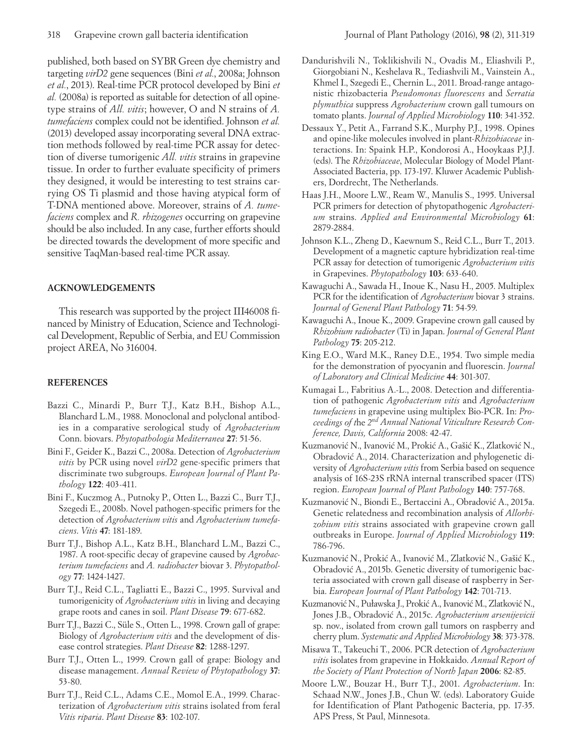published, both based on SYBR Green dye chemistry and targeting *virD2* gene sequences (Bini *et al.*, 2008a; Johnson *et al.*, 2013). Real-time PCR protocol developed by Bini *et al.* (2008a) is reported as suitable for detection of all opinetype strains of *All. vitis*; however, O and N strains of *A. tumefaciens* complex could not be identified. Johnson *et al.* (2013) developed assay incorporating several DNA extraction methods followed by real-time PCR assay for detection of diverse tumorigenic *All. vitis* strains in grapevine tissue. In order to further evaluate specificity of primers they designed, it would be interesting to test strains carrying OS Ti plasmid and those having atypical form of T-DNA mentioned above. Moreover, strains of *A. tumefaciens* complex and *R. rhizogenes* occurring on grapevine should be also included. In any case, further efforts should be directed towards the development of more specific and sensitive TaqMan-based real-time PCR assay.

# **ACKNOWLEDGEMENTS**

This research was supported by the project III46008 financed by Ministry of Education, Science and Technological Development, Republic of Serbia, and EU Commission project AREA, No 316004.

# **REFERENCES**

- Bazzi C., Minardi P., Burr T.J., Katz B.H., Bishop A.L., Blanchard L.M., 1988. Monoclonal and polyclonal antibodies in a comparative serological study of *Agrobacterium* Conn. biovars. *Phytopathologia Mediterranea* **27**: 51-56.
- Bini F., Geider K., Bazzi C., 2008a. Detection of *Agrobacterium vitis* by PCR using novel *virD2* gene-specific primers that discriminate two subgroups. *European Journal of Plant Pathology* **122**: 403-411.
- Bini F., Kuczmog A., Putnoky P., Otten L., Bazzi C., Burr T.J., Szegedi E., 2008b. Novel pathogen-specific primers for the detection of *Agrobacterium vitis* and *Agrobacterium tumefaciens*. *Vitis* **47**: 181-189.
- Burr T.J., Bishop A.L., Katz B.H., Blanchard L.M., Bazzi C., 1987. A root-specific decay of grapevine caused by *Agrobacterium tumefaciens* and *A. radiobacter* biovar 3. *Phytopathology* **77**: 1424-1427.
- Burr T.J., Reid C.L., Tagliatti E., Bazzi C., 1995. Survival and tumorigenicity of *Agrobacterium vitis* in living and decaying grape roots and canes in soil. *Plant Disease* **79**: 677-682.
- Burr T.J., Bazzi C., Süle S., Otten L., 1998. Crown gall of grape: Biology of *Agrobacterium vitis* and the development of disease control strategies. *Plant Disease* **82**: 1288-1297.
- Burr T.J., Otten L., 1999. Crown gall of grape: Biology and disease management. *Annual Review of Phytopathology* **37**: 53-80.
- Burr T.J., Reid C.L., Adams C.E., Momol E.A., 1999. Characterization of *Agrobacterium vitis* strains isolated from feral *Vitis riparia*. *Plant Disease* **83**: 102-107.
- Dandurishvili N., Toklikishvili N., Ovadis M., Eliashvili P., Giorgobiani N., Keshelava R., Tediashvili M., Vainstein A., Khmel I., Szegedi E., Chernin L., 2011. Broad-range antagonistic rhizobacteria *Pseudomonas fluorescens* and *Serratia plymuthica* suppress *Agrobacterium* crown gall tumours on tomato plants. *Journal of Applied Microbiology* **110**: 341-352.
- Dessaux Y., Petit A., Farrand S.K., Murphy P.J., 1998. Opines and opine-like molecules involved in plant-*Rhizobiaceae* interactions. In: Spaink H.P., Kondorosi A., Hooykaas P.J.J. (eds). The *Rhizobiaceae*, Molecular Biology of Model Plant-Associated Bacteria, pp. 173-197. Kluwer Academic Publishers, Dordrecht, The Netherlands.
- Haas J.H., Moore L.W., Ream W., Manulis S., 1995. Universal PCR primers for detection of phytopathogenic *Agrobacterium* strains. *Applied and Environmental Microbiology* **61**: 2879-2884.
- Johnson K.L., Zheng D., Kaewnum S., Reid C.L., Burr T., 2013. Development of a magnetic capture hybridization real-time PCR assay for detection of tumorigenic *Agrobacterium vitis* in Grapevines. *Phytopathology* **103**: 633-640.
- Kawaguchi A., Sawada H., Inoue K., Nasu H., 2005. Multiplex PCR for the identification of *Agrobacterium* biovar 3 strains. *Journal of General Plant Pathology* **71**: 54-59.
- Kawaguchi A., Inoue K., 2009. Grapevine crown gall caused by *Rhizobium radiobacter* (Ti) in Japan. *Journal of General Plant Pathology* **75**: 205-212.
- King E.O., Ward M.K., Raney D.E., 1954. Two simple media for the demonstration of pyocyanin and fluorescin. *Journal of Laboratory and Clinical Medicine* **44**: 301-307.
- Kumagai L., Fabritius A.-L., 2008. Detection and differentiation of pathogenic *Agrobacterium vitis* and *Agrobacterium tumefaciens* in grapevine using multiplex Bio-PCR. In: *Proceedings of t*he *2nd Annual National Viticulture Research Conference, Davis, California* 2008: 42-47.
- Kuzmanović N., Ivanović M., Prokić A., Gašić K., Zlatković N., Obradovic´ A., 2014. Characterization and phylogenetic diversity of *Agrobacterium vitis* from Serbia based on sequence analysis of 16S-23S rRNA internal transcribed spacer (ITS) region. *European Journal of Plant Pathology* **140**: 757-768.
- Kuzmanović N., Biondi E., Bertaccini A., Obradović A., 2015a. Genetic relatedness and recombination analysis of *Allorhizobium vitis* strains associated with grapevine crown gall outbreaks in Europe. *Journal of Applied Microbiology* **119**: 786-796.
- Kuzmanović N., Prokić A., Ivanović M., Zlatković N., Gašić K., Obradovic´ A., 2015b. Genetic diversity of tumorigenic bacteria associated with crown gall disease of raspberry in Serbia. *European Journal of Plant Pathology* **142**: 701-713.
- Kuzmanović N., Puławska J., Prokić A., Ivanović M., Zlatković N., Jones J.B., Obradovic´ A., 2015c. *Agrobacterium arsenijevicii*  sp. nov., isolated from crown gall tumors on raspberry and cherry plum. *Systematic and Applied Microbiology* **38**: 373-378.
- Misawa T., Takeuchi T., 2006. PCR detection of *Agrobacterium vitis* isolates from grapevine in Hokkaido. *Annual Report of the Society of Plant Protection of North Japan* **2006**: 82-85.
- Moore L.W., Bouzar H., Burr T.J., 2001. *Agrobacterium*. In: Schaad N.W., Jones J.B., Chun W. (eds). Laboratory Guide for Identification of Plant Pathogenic Bacteria, pp. 17-35. APS Press, St Paul, Minnesota.